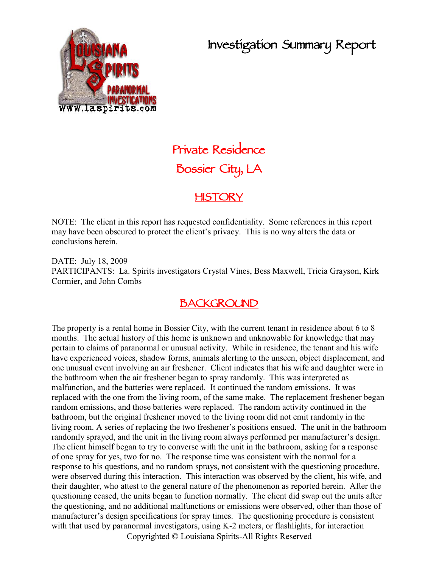## **Investigation Summary Report**



# **Private Residence Bossier City, LA**

#### **HISTORY**

NOTE: The client in this report has requested confidentiality. Some references in this report may have been obscured to protect the client's privacy. This is no way alters the data or conclusions herein.

DATE: July 18, 2009 PARTICIPANTS: La. Spirits investigators Crystal Vines, Bess Maxwell, Tricia Grayson, Kirk Cormier, and John Combs

### **BACKGROUND**

The property is a rental home in Bossier City, with the current tenant in residence about 6 to 8 months. The actual history of this home is unknown and unknowable for knowledge that may pertain to claims of paranormal or unusual activity. While in residence, the tenant and his wife have experienced voices, shadow forms, animals alerting to the unseen, object displacement, and one unusual event involving an air freshener. Client indicates that his wife and daughter were in the bathroom when the air freshener began to spray randomly. This was interpreted as malfunction, and the batteries were replaced. It continued the random emissions. It was replaced with the one from the living room, of the same make. The replacement freshener began random emissions, and those batteries were replaced. The random activity continued in the bathroom, but the original freshener moved to the living room did not emit randomly in the living room. A series of replacing the two freshener's positions ensued. The unit in the bathroom randomly sprayed, and the unit in the living room always performed per manufacturer's design. The client himself began to try to converse with the unit in the bathroom, asking for a response of one spray for yes, two for no. The response time was consistent with the normal for a response to his questions, and no random sprays, not consistent with the questioning procedure, were observed during this interaction. This interaction was observed by the client, his wife, and their daughter, who attest to the general nature of the phenomenon as reported herein. After the questioning ceased, the units began to function normally. The client did swap out the units after the questioning, and no additional malfunctions or emissions were observed, other than those of manufacturer's design specifications for spray times. The questioning procedure is consistent with that used by paranormal investigators, using K-2 meters, or flashlights, for interaction

Copyrighted © Louisiana Spirits-All Rights Reserved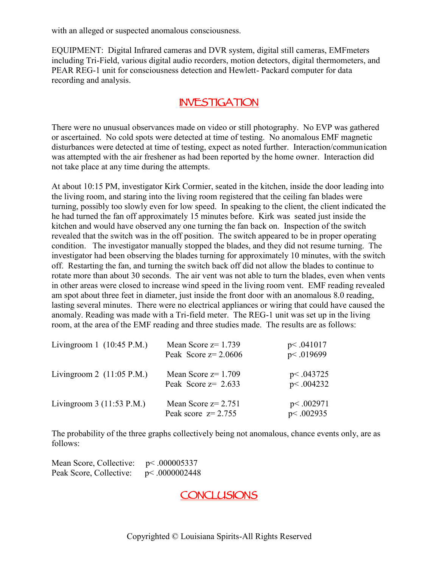with an alleged or suspected anomalous consciousness.

EQUIPMENT: Digital Infrared cameras and DVR system, digital still cameras, EMFmeters including Tri-Field, various digital audio recorders, motion detectors, digital thermometers, and PEAR REG-1 unit for consciousness detection and Hewlett- Packard computer for data recording and analysis.

#### **INVESTIGATION**

There were no unusual observances made on video or still photography. No EVP was gathered or ascertained. No cold spots were detected at time of testing. No anomalous EMF magnetic disturbances were detected at time of testing, expect as noted further. Interaction/communication was attempted with the air freshener as had been reported by the home owner. Interaction did not take place at any time during the attempts.

At about 10:15 PM, investigator Kirk Cormier, seated in the kitchen, inside the door leading into the living room, and staring into the living room registered that the ceiling fan blades were turning, possibly too slowly even for low speed. In speaking to the client, the client indicated the he had turned the fan off approximately 15 minutes before. Kirk was seated just inside the kitchen and would have observed any one turning the fan back on. Inspection of the switch revealed that the switch was in the off position. The switch appeared to be in proper operating condition. The investigator manually stopped the blades, and they did not resume turning. The investigator had been observing the blades turning for approximately 10 minutes, with the switch off. Restarting the fan, and turning the switch back off did not allow the blades to continue to rotate more than about 30 seconds. The air vent was not able to turn the blades, even when vents in other areas were closed to increase wind speed in the living room vent. EMF reading revealed am spot about three feet in diameter, just inside the front door with an anomalous 8.0 reading, lasting several minutes. There were no electrical appliances or wiring that could have caused the anomaly. Reading was made with a Tri-field meter. The REG-1 unit was set up in the living room, at the area of the EMF reading and three studies made. The results are as follows:

| Livingroom 1 $(10:45 \text{ P.M.})$ | Mean Score $z=1.739$<br>Peak Score $z=2.0606$  | p<.041017<br>p<.019699 |
|-------------------------------------|------------------------------------------------|------------------------|
| Livingroom 2 $(11:05 \text{ P.M.})$ | Mean Score $z=1.709$<br>Peak Score $z = 2.633$ | p<.043725<br>p<.004232 |
| Livingroom $3(11:53 \text{ P.M.})$  | Mean Score $z=2.751$<br>Peak score $z=2.755$   | p<.002971<br>p<.002935 |

The probability of the three graphs collectively being not anomalous, chance events only, are as follows:

Mean Score, Collective: p< .000005337 Peak Score, Collective:  $p < .0000002448$ 

**CONCLUSIONS**